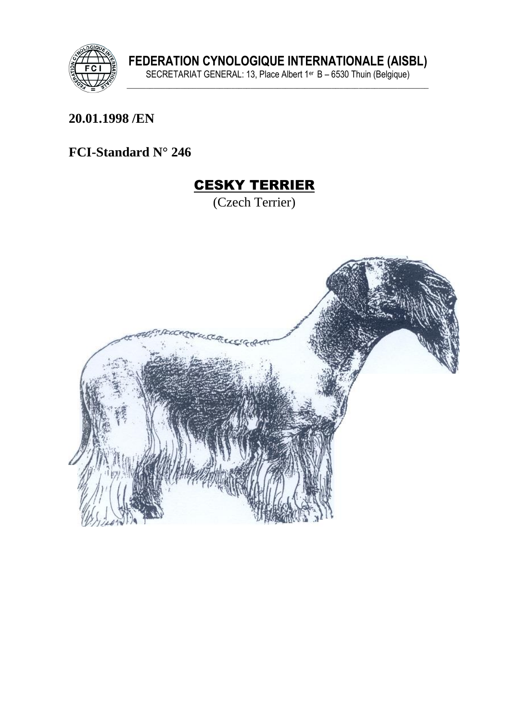

#### 20.01.1998 /EN

#### FCI-Standard N° 246

# **CESKY TERRIER**

(Czech Terrier)

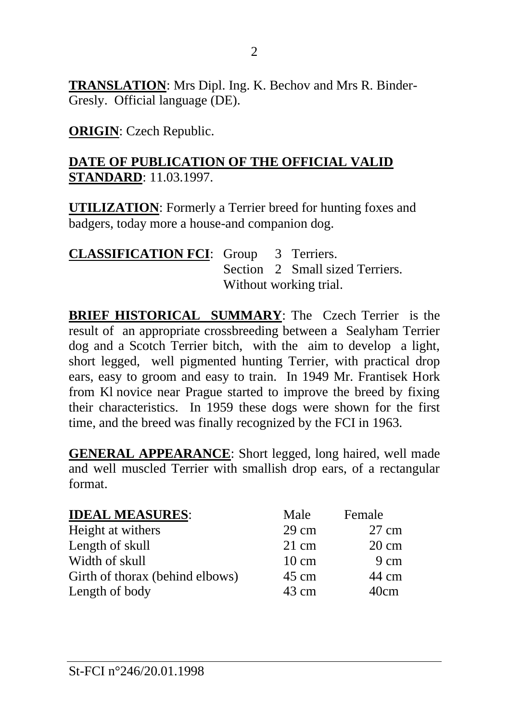**TRANSLATION**: Mrs Dipl. Ing. K. Bechov and Mrs R. Binder-Gresly. Official language (DE).

**ORIGIN**: Czech Republic.

#### **DATE OF PUBLICATION OF THE OFFICIAL VALID STANDARD**: 11.03.1997.

**UTILIZATION**: Formerly a Terrier breed for hunting foxes and badgers, today more a house-and companion dog.

| <b>CLASSIFICATION FCI:</b> Group 3 Terriers. |                        |  |                                 |
|----------------------------------------------|------------------------|--|---------------------------------|
|                                              |                        |  | Section 2 Small sized Terriers. |
|                                              | Without working trial. |  |                                 |

**BRIEF HISTORICAL SUMMARY**: The Czech Terrier is the result of an appropriate crossbreeding between a Sealyham Terrier dog and a Scotch Terrier bitch, with the aim to develop a light, short legged, well pigmented hunting Terrier, with practical drop ears, easy to groom and easy to train. In 1949 Mr. Frantisek Hork from Kl novice near Prague started to improve the breed by fixing their characteristics. In 1959 these dogs were shown for the first time, and the breed was finally recognized by the FCI in 1963.

**GENERAL APPEARANCE**: Short legged, long haired, well made and well muscled Terrier with smallish drop ears, of a rectangular format.

| <b>IDEAL MEASURES:</b>          | Male            | Female          |
|---------------------------------|-----------------|-----------------|
| Height at withers               | $29 \text{ cm}$ | $27 \text{ cm}$ |
| Length of skull                 | $21 \text{ cm}$ | $20 \text{ cm}$ |
| Width of skull                  | $10 \text{ cm}$ | 9 cm            |
| Girth of thorax (behind elbows) | $45 \text{ cm}$ | 44 cm           |
| Length of body                  | 43 cm           | 40cm            |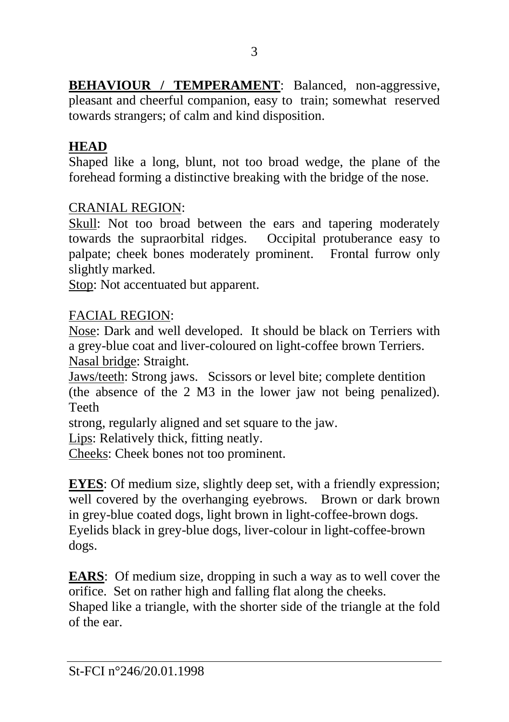**BEHAVIOUR / TEMPERAMENT**: Balanced, non-aggressive, pleasant and cheerful companion, easy to train; somewhat reserved towards strangers; of calm and kind disposition.

# **HEAD**

Shaped like a long, blunt, not too broad wedge, the plane of the forehead forming a distinctive breaking with the bridge of the nose.

## CRANIAL REGION:

Skull: Not too broad between the ears and tapering moderately towards the supraorbital ridges. Occipital protuberance easy to palpate; cheek bones moderately prominent. Frontal furrow only slightly marked.

Stop: Not accentuated but apparent.

## FACIAL REGION:

Nose: Dark and well developed. It should be black on Terriers with a grey-blue coat and liver-coloured on light-coffee brown Terriers. Nasal bridge: Straight.

Jaws/teeth: Strong jaws. Scissors or level bite; complete dentition (the absence of the 2 M3 in the lower jaw not being penalized). Teeth

strong, regularly aligned and set square to the jaw.

Lips: Relatively thick, fitting neatly.

Cheeks: Cheek bones not too prominent.

**EYES**: Of medium size, slightly deep set, with a friendly expression; well covered by the overhanging eyebrows. Brown or dark brown in grey-blue coated dogs, light brown in light-coffee-brown dogs. Eyelids black in grey-blue dogs, liver-colour in light-coffee-brown dogs.

**EARS:** Of medium size, dropping in such a way as to well cover the orifice. Set on rather high and falling flat along the cheeks. Shaped like a triangle, with the shorter side of the triangle at the fold of the ear.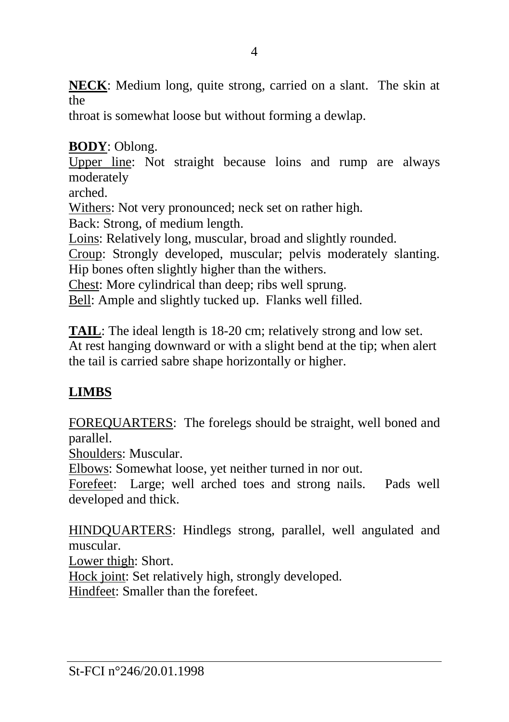**NECK**: Medium long, quite strong, carried on a slant. The skin at the

throat is somewhat loose but without forming a dewlap.

## **BODY**: Oblong.

Upper line: Not straight because loins and rump are always moderately

arched.

Withers: Not very pronounced; neck set on rather high.

Back: Strong, of medium length.

Loins: Relatively long, muscular, broad and slightly rounded.

Croup: Strongly developed, muscular; pelvis moderately slanting. Hip bones often slightly higher than the withers.

Chest: More cylindrical than deep; ribs well sprung.

Bell: Ample and slightly tucked up. Flanks well filled.

**TAIL**: The ideal length is 18-20 cm; relatively strong and low set. At rest hanging downward or with a slight bend at the tip; when alert the tail is carried sabre shape horizontally or higher.

# **LIMBS**

FOREQUARTERS: The forelegs should be straight, well boned and parallel.

Shoulders: Muscular.

Elbows: Somewhat loose, yet neither turned in nor out.

Forefeet: Large; well arched toes and strong nails. Pads well developed and thick.

HINDQUARTERS: Hindlegs strong, parallel, well angulated and muscular.

Lower thigh: Short.

Hock joint: Set relatively high, strongly developed.

Hindfeet: Smaller than the forefeet.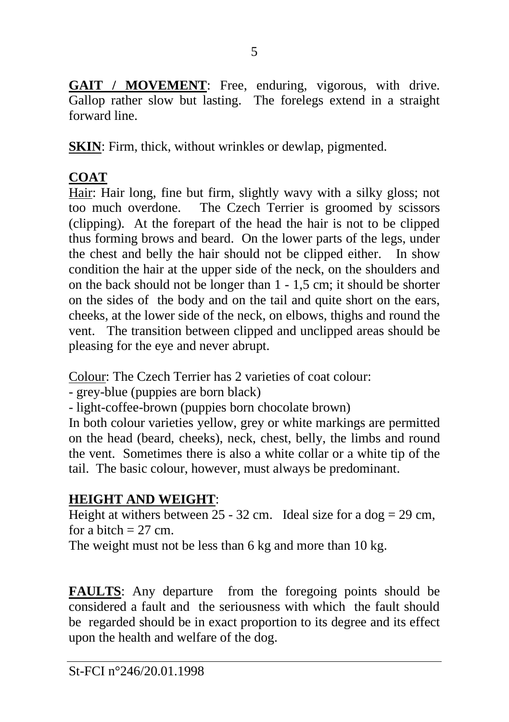GAIT / MOVEMENT: Free, enduring, vigorous, with drive. Gallop rather slow but lasting. The forelegs extend in a straight forward line.

**SKIN**: Firm, thick, without wrinkles or dewlap, pigmented.

# **COAT**

Hair: Hair long, fine but firm, slightly wavy with a silky gloss; not too much overdone. The Czech Terrier is groomed by scissors (clipping). At the forepart of the head the hair is not to be clipped thus forming brows and beard. On the lower parts of the legs, under the chest and belly the hair should not be clipped either. In show condition the hair at the upper side of the neck, on the shoulders and on the back should not be longer than 1 - 1,5 cm; it should be shorter on the sides of the body and on the tail and quite short on the ears, cheeks, at the lower side of the neck, on elbows, thighs and round the vent. The transition between clipped and unclipped areas should be pleasing for the eye and never abrupt.

Colour: The Czech Terrier has 2 varieties of coat colour:

- grey-blue (puppies are born black)

- light-coffee-brown (puppies born chocolate brown)

In both colour varieties yellow, grey or white markings are permitted on the head (beard, cheeks), neck, chest, belly, the limbs and round the vent. Sometimes there is also a white collar or a white tip of the tail. The basic colour, however, must always be predominant.

# **HEIGHT AND WEIGHT**:

Height at withers between  $25 - 32$  cm. Ideal size for a dog = 29 cm, for a bitch  $= 27$  cm.

The weight must not be less than 6 kg and more than 10 kg.

**FAULTS**: Any departure from the foregoing points should be considered a fault and the seriousness with which the fault should be regarded should be in exact proportion to its degree and its effect upon the health and welfare of the dog.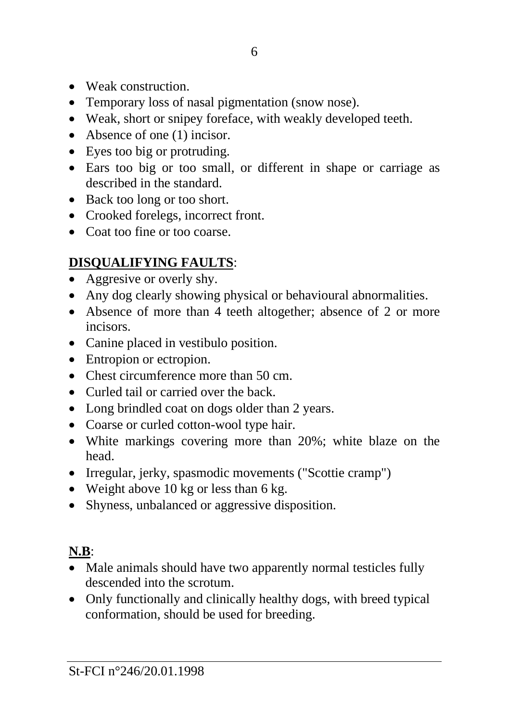- Weak construction.
- Temporary loss of nasal pigmentation (snow nose).
- Weak, short or snipey foreface, with weakly developed teeth.
- Absence of one (1) incisor.
- Eyes too big or protruding.
- Ears too big or too small, or different in shape or carriage as described in the standard.
- Back too long or too short.
- Crooked forelegs, incorrect front.
- Coat too fine or too coarse.

# **DISQUALIFYING FAULTS**:

- Aggresive or overly shy.
- Any dog clearly showing physical or behavioural abnormalities.
- Absence of more than 4 teeth altogether; absence of 2 or more incisors.
- Canine placed in vestibulo position.
- Entropion or ectropion.
- Chest circumference more than 50 cm.
- Curled tail or carried over the back.
- Long brindled coat on dogs older than 2 years.
- Coarse or curled cotton-wool type hair.
- White markings covering more than 20%; white blaze on the head.
- Irregular, jerky, spasmodic movements ("Scottie cramp")
- Weight above 10 kg or less than 6 kg.
- Shyness, unbalanced or aggressive disposition.

# **N.B**:

- Male animals should have two apparently normal testicles fully descended into the scrotum.
- Only functionally and clinically healthy dogs, with breed typical conformation, should be used for breeding.